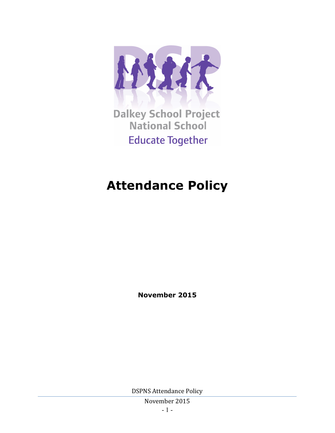

**Dalkey School Project National School Educate Together** 

# **Attendance Policy**

**November 2015**

DSPNS Attendance Policy

November 2015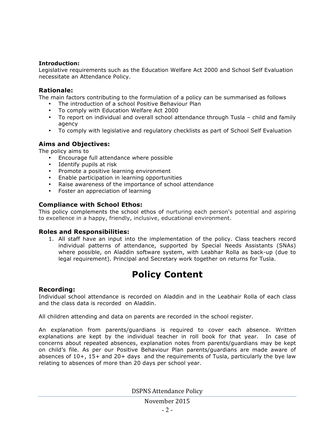#### **Introduction:**

Legislative requirements such as the Education Welfare Act 2000 and School Self Evaluation necessitate an Attendance Policy.

#### **Rationale:**

The main factors contributing to the formulation of a policy can be summarised as follows

- The introduction of a school Positive Behaviour Plan
- To comply with Education Welfare Act 2000
- To report on individual and overall school attendance through Tusla child and family agency
- To comply with legislative and regulatory checklists as part of School Self Evaluation

#### **Aims and Objectives:**

The policy aims to

- Encourage full attendance where possible
- Identify pupils at risk
- Promote a positive learning environment
- Enable participation in learning opportunities
- Raise awareness of the importance of school attendance
- Foster an appreciation of learning

### **Compliance with School Ethos:**

This policy complements the school ethos of nurturing each person's potential and aspiring to excellence in a happy, friendly, inclusive, educational environment.

#### **Roles and Responsibilities:**

1. All staff have an input into the implementation of the policy. Class teachers record individual patterns of attendance, supported by Special Needs Assistants (SNAs) where possible, on Aladdin software system, with Leabhar Rolla as back-up (due to legal requirement). Principal and Secretary work together on returns for Tusla.

# **Policy Content**

#### **Recording:**

Individual school attendance is recorded on Aladdin and in the Leabhair Rolla of each class and the class data is recorded on Aladdin.

All children attending and data on parents are recorded in the school register.

An explanation from parents/guardians is required to cover each absence. Written explanations are kept by the individual teacher in roll book for that year. In case of concerns about repeated absences, explanation notes from parents/guardians may be kept on child's file. As per our Positive Behaviour Plan parents/guardians are made aware of absences of 10+, 15+ and 20+ days and the requirements of Tusla, particularly the bye law relating to absences of more than 20 days per school year.

DSPNS Attendance Policy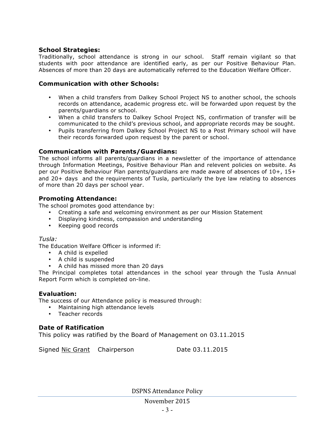# **School Strategies:**

Traditionally, school attendance is strong in our school. Staff remain vigilant so that students with poor attendance are identified early, as per our Positive Behaviour Plan. Absences of more than 20 days are automatically referred to the Education Welfare Officer.

## **Communication with other Schools:**

- When a child transfers from Dalkey School Project NS to another school, the schools records on attendance, academic progress etc. will be forwarded upon request by the parents/guardians or school.
- When a child transfers to Dalkey School Project NS, confirmation of transfer will be communicated to the child's previous school, and appropriate records may be sought.
- Pupils transferring from Dalkey School Project NS to a Post Primary school will have their records forwarded upon request by the parent or school.

### **Communication with Parents/Guardians:**

The school informs all parents/guardians in a newsletter of the importance of attendance through Information Meetings, Positive Behaviour Plan and relevent policies on website. As per our Positive Behaviour Plan parents/guardians are made aware of absences of 10+, 15+ and 20+ days and the requirements of Tusla, particularly the bye law relating to absences of more than 20 days per school year.

# **Promoting Attendance:**

The school promotes good attendance by:

- Creating a safe and welcoming environment as per our Mission Statement
- Displaying kindness, compassion and understanding
- Keeping good records

### *Tusla:*

The Education Welfare Officer is informed if:

- A child is expelled
- A child is suspended
- A child has missed more than 20 days

The Principal completes total attendances in the school year through the Tusla Annual Report Form which is completed on-line.

### **Evaluation:**

The success of our Attendance policy is measured through:

- Maintaining high attendance levels
- Teacher records

### **Date of Ratification**

This policy was ratified by the Board of Management on 03.11.2015

Signed Nic Grant Chairperson Date 03.11.2015

DSPNS Attendance Policy